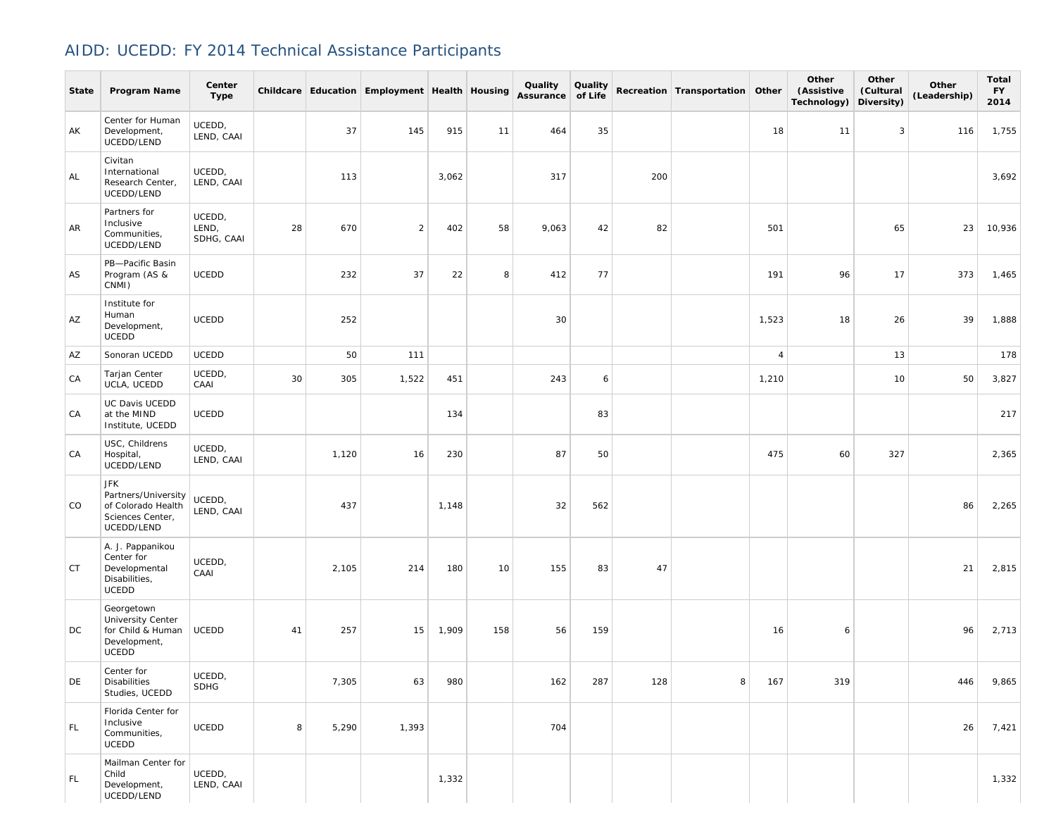## AIDD: UCEDD: FY 2014 Technical Assistance Participants

| State     | Program Name                                                                       | Center<br>Type                |    |       | Childcare Education Employment Health Housing |       |     | Quality<br>Assurance of Life | Quality |     | Recreation Transportation Other |                | Other<br>(Assistive<br>Technology) | Other<br>(Cultural<br>Diversity) | Other<br>(Leadership) | <b>Total</b><br><b>FY</b><br>2014 |
|-----------|------------------------------------------------------------------------------------|-------------------------------|----|-------|-----------------------------------------------|-------|-----|------------------------------|---------|-----|---------------------------------|----------------|------------------------------------|----------------------------------|-----------------------|-----------------------------------|
| AK        | Center for Human<br>Development,<br>UCEDD/LEND                                     | UCEDD,<br>LEND, CAAI          |    | 37    | 145                                           | 915   | 11  | 464                          | 35      |     |                                 | 18             | 11                                 | 3                                | 116                   | 1,755                             |
| AL        | Civitan<br>International<br>Research Center,<br>UCEDD/LEND                         | UCEDD,<br>LEND, CAAI          |    | 113   |                                               | 3,062 |     | 317                          |         | 200 |                                 |                |                                    |                                  |                       | 3,692                             |
| AR        | Partners for<br>Inclusive<br>Communities,<br>UCEDD/LEND                            | UCEDD,<br>LEND,<br>SDHG, CAAI | 28 | 670   | $\overline{2}$                                | 402   | 58  | 9,063                        | 42      | 82  |                                 | 501            |                                    | 65                               | 23                    | 10,936                            |
| AS        | PB-Pacific Basin<br>Program (AS &<br>CNMI)                                         | <b>UCEDD</b>                  |    | 232   | 37                                            | 22    | 8   | 412                          | 77      |     |                                 | 191            | 96                                 | 17                               | 373                   | 1,465                             |
| AZ        | Institute for<br>Human<br>Development,<br>UCEDD                                    | <b>UCEDD</b>                  |    | 252   |                                               |       |     | 30                           |         |     |                                 | 1,523          | 18                                 | 26                               | 39                    | 1,888                             |
| AZ        | Sonoran UCEDD                                                                      | UCEDD                         |    | 50    | 111                                           |       |     |                              |         |     |                                 | $\overline{4}$ |                                    | 13                               |                       | 178                               |
| CA        | Tarjan Center<br>UCLA, UCEDD                                                       | UCEDD,<br>CAAI                | 30 | 305   | 1,522                                         | 451   |     | 243                          | 6       |     |                                 | 1,210          |                                    | 10                               | 50                    | 3,827                             |
| CA        | UC Davis UCEDD<br>at the MIND<br>Institute, UCEDD                                  | <b>UCEDD</b>                  |    |       |                                               | 134   |     |                              | 83      |     |                                 |                |                                    |                                  |                       | 217                               |
| CA        | USC, Childrens<br>Hospital,<br>UCEDD/LEND                                          | UCEDD,<br>LEND, CAAI          |    | 1,120 | 16                                            | 230   |     | 87                           | 50      |     |                                 | 475            | 60                                 | 327                              |                       | 2,365                             |
| CO        | JFK<br>Partners/University<br>of Colorado Health<br>Sciences Center,<br>UCEDD/LEND | UCEDD,<br>LEND, CAAI          |    | 437   |                                               | 1,148 |     | 32                           | 562     |     |                                 |                |                                    |                                  | 86                    | 2,265                             |
| <b>CT</b> | A. J. Pappanikou<br>Center for<br>Developmental<br>Disabilities,<br><b>UCEDD</b>   | UCEDD,<br>CAAI                |    | 2,105 | 214                                           | 180   | 10  | 155                          | 83      | 47  |                                 |                |                                    |                                  | 21                    | 2,815                             |
| DC        | Georgetown<br>University Center<br>for Child & Human<br>Development,<br>UCEDD      | UCEDD                         | 41 | 257   | 15                                            | 1,909 | 158 | 56                           | 159     |     |                                 | 16             | 6                                  |                                  | 96                    | 2,713                             |
| DE        | Center for<br><b>Disabilities</b><br>Studies, UCEDD                                | UCEDD,<br><b>SDHG</b>         |    | 7,305 | 63                                            | 980   |     | 162                          | 287     | 128 | 8                               | 167            | 319                                |                                  | 446                   | 9,865                             |
| FL.       | Florida Center for<br>Inclusive<br>Communities,<br>UCEDD                           | <b>UCEDD</b>                  | 8  | 5,290 | 1,393                                         |       |     | 704                          |         |     |                                 |                |                                    |                                  | 26                    | 7,421                             |
| FL.       | Mailman Center for<br>Child<br>Development,<br>UCEDD/LEND                          | UCEDD,<br>LEND, CAAI          |    |       |                                               | 1,332 |     |                              |         |     |                                 |                |                                    |                                  |                       | 1,332                             |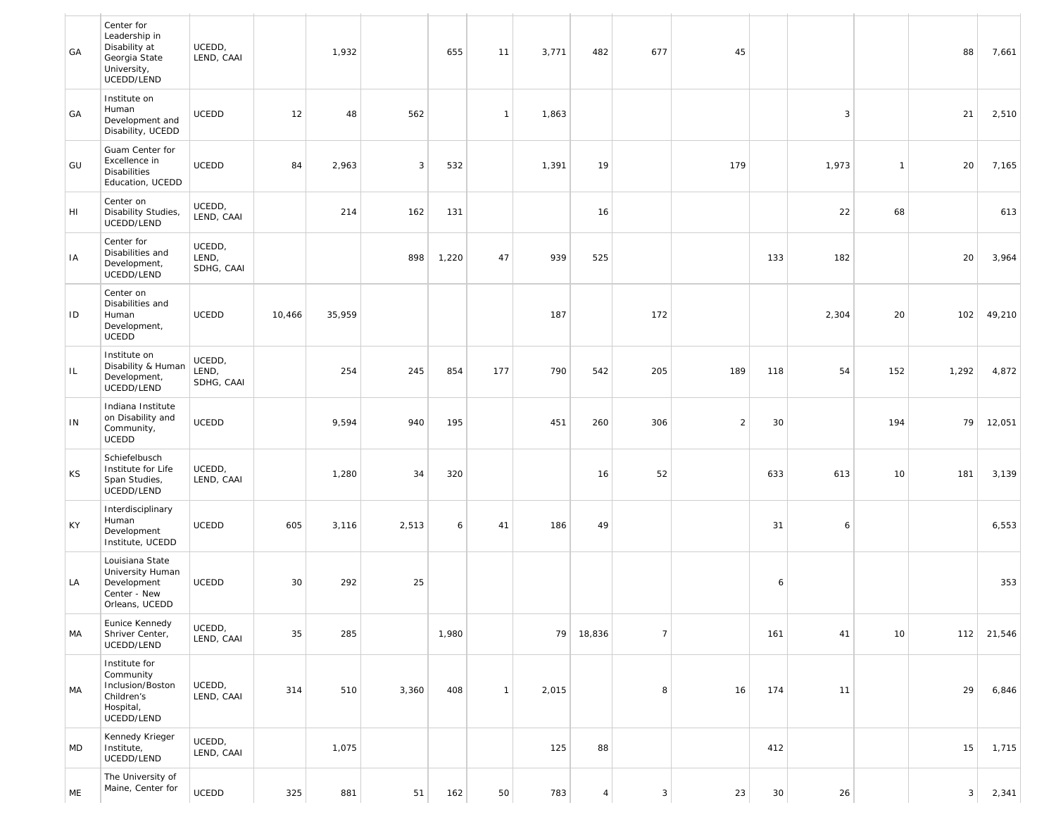| GA  | Center for<br>Leadership in<br>Disability at<br>Georgia State<br>University,<br>UCEDD/LEND | UCEDD,<br>LEND, CAAI          |        | 1,932  |       | 655   | 11           | 3,771 | 482            | 677            | 45             |     |       |                | 88    | 7,661  |
|-----|--------------------------------------------------------------------------------------------|-------------------------------|--------|--------|-------|-------|--------------|-------|----------------|----------------|----------------|-----|-------|----------------|-------|--------|
| GA  | Institute on<br>Human<br>Development and<br>Disability, UCEDD                              | <b>UCEDD</b>                  | 12     | 48     | 562   |       | $\mathbf{1}$ | 1,863 |                |                |                |     | 3     |                | 21    | 2,510  |
| GU  | Guam Center for<br>Excellence in<br><b>Disabilities</b><br>Education, UCEDD                | <b>UCEDD</b>                  | 84     | 2,963  | 3     | 532   |              | 1,391 | 19             |                | 179            |     | 1,973 | $\overline{1}$ | 20    | 7,165  |
| HI  | Center on<br>Disability Studies,<br>UCEDD/LEND                                             | UCEDD,<br>LEND, CAAI          |        | 214    | 162   | 131   |              |       | 16             |                |                |     | 22    | 68             |       | 613    |
| IA  | Center for<br>Disabilities and<br>Development,<br>UCEDD/LEND                               | UCEDD,<br>LEND,<br>SDHG, CAAI |        |        | 898   | 1,220 | 47           | 939   | 525            |                |                | 133 | 182   |                | 20    | 3,964  |
| ID  | Center on<br>Disabilities and<br>Human<br>Development,<br><b>UCEDD</b>                     | UCEDD                         | 10,466 | 35,959 |       |       |              | 187   |                | 172            |                |     | 2,304 | 20             | 102   | 49,210 |
| IL. | Institute on<br>Disability & Human<br>Development,<br>UCEDD/LEND                           | UCEDD,<br>LEND,<br>SDHG, CAAI |        | 254    | 245   | 854   | 177          | 790   | 542            | 205            | 189            | 118 | 54    | 152            | 1,292 | 4,872  |
| IN  | Indiana Institute<br>on Disability and<br>Community,<br>UCEDD                              | <b>UCEDD</b>                  |        | 9,594  | 940   | 195   |              | 451   | 260            | 306            | $\overline{2}$ | 30  |       | 194            | 79    | 12,051 |
| KS  | Schiefelbusch<br>Institute for Life<br>Span Studies,<br>UCEDD/LEND                         | UCEDD,<br>LEND, CAAI          |        | 1,280  | 34    | 320   |              |       | 16             | 52             |                | 633 | 613   | 10             | 181   | 3,139  |
| KY  | Interdisciplinary<br>Human<br>Development<br>Institute, UCEDD                              | UCEDD                         | 605    | 3,116  | 2,513 | 6     | 41           | 186   | 49             |                |                | 31  | 6     |                |       | 6,553  |
| LA  | Louisiana State<br>University Human<br>Development<br>Center - New<br>Orleans, UCEDD       | UCEDD                         | 30     | 292    | 25    |       |              |       |                |                |                | 6   |       |                |       | 353    |
| МA  | Eunice Kennedy<br>Shriver Center,<br>UCEDD/LEND                                            | UCEDD,<br>LEND, CAAI          | 35     | 285    |       | 1,980 |              | 79    | 18,836         | $\overline{7}$ |                | 161 | 41    | 10             | 112   | 21,546 |
| MA  | Institute for<br>Community<br>Inclusion/Boston<br>Children's<br>Hospital,<br>UCEDD/LEND    | UCEDD,<br>LEND, CAAI          | 314    | 510    | 3,360 | 408   | $\mathbf{1}$ | 2,015 |                | 8              | 16             | 174 | 11    |                | 29    | 6,846  |
| MD  | Kennedy Krieger<br>Institute,<br>UCEDD/LEND                                                | UCEDD,<br>LEND, CAAI          |        | 1,075  |       |       |              | 125   | 88             |                |                | 412 |       |                | 15    | 1,715  |
| ME  | The University of<br>Maine, Center for                                                     | UCEDD                         | 325    | 881    | 51    | 162   | 50           | 783   | $\overline{4}$ | $\mathbf{3}$   | 23             | 30  | 26    |                | 3     | 2,341  |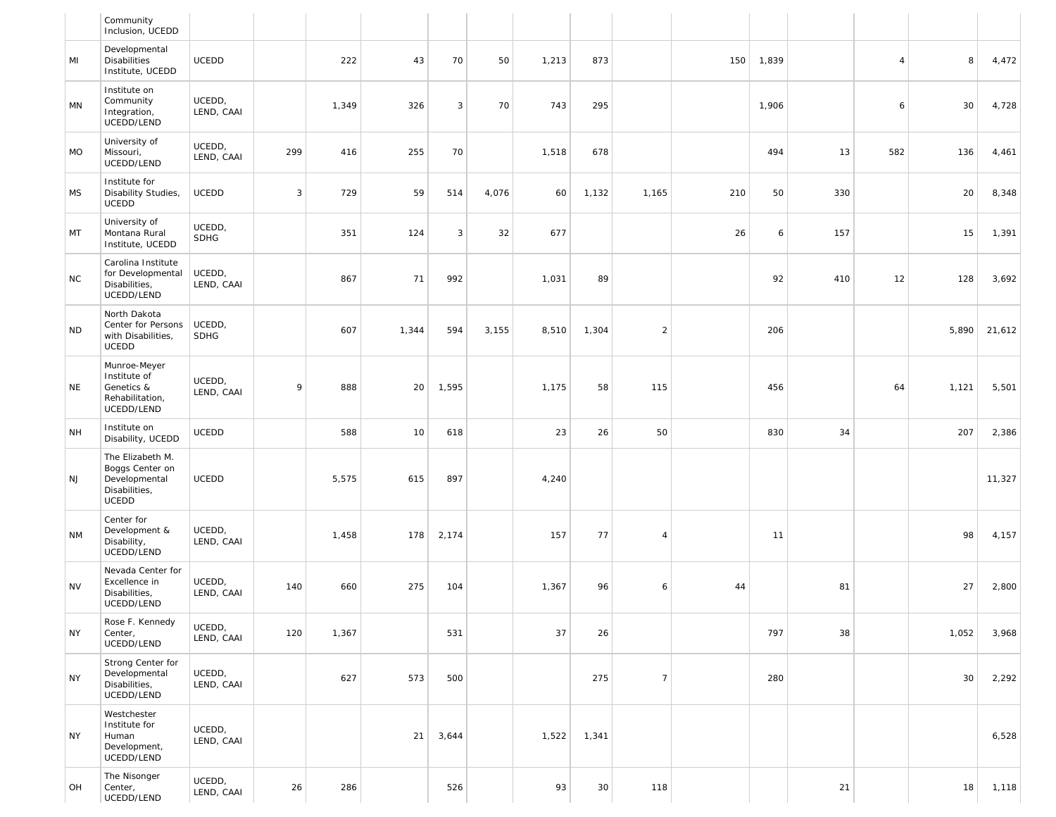|           | Community<br>Inclusion, UCEDD                                                         |                       |     |       |       |       |       |       |       |                |     |       |     |                |       |        |
|-----------|---------------------------------------------------------------------------------------|-----------------------|-----|-------|-------|-------|-------|-------|-------|----------------|-----|-------|-----|----------------|-------|--------|
| MI        | Developmental<br><b>Disabilities</b><br>Institute, UCEDD                              | UCEDD                 |     | 222   | 43    | 70    | 50    | 1,213 | 873   |                | 150 | 1,839 |     | $\overline{4}$ | 8     | 4,472  |
| MN        | Institute on<br>Community<br>Integration,<br>UCEDD/LEND                               | UCEDD,<br>LEND, CAAI  |     | 1,349 | 326   | 3     | 70    | 743   | 295   |                |     | 1,906 |     | 6              | 30    | 4,728  |
| <b>MO</b> | University of<br>Missouri,<br>UCEDD/LEND                                              | UCEDD,<br>LEND, CAAI  | 299 | 416   | 255   | 70    |       | 1,518 | 678   |                |     | 494   | 13  | 582            | 136   | 4,461  |
| <b>MS</b> | Institute for<br>Disability Studies,<br><b>UCEDD</b>                                  | UCEDD                 | 3   | 729   | 59    | 514   | 4,076 | 60    | 1,132 | 1,165          | 210 | 50    | 330 |                | 20    | 8,348  |
| MT        | University of<br>Montana Rural<br>Institute, UCEDD                                    | UCEDD,<br><b>SDHG</b> |     | 351   | 124   | 3     | 32    | 677   |       |                | 26  | 6     | 157 |                | 15    | 1,391  |
| <b>NC</b> | Carolina Institute<br>for Developmental<br>Disabilities,<br>UCEDD/LEND                | UCEDD,<br>LEND, CAAI  |     | 867   | 71    | 992   |       | 1,031 | 89    |                |     | 92    | 410 | 12             | 128   | 3,692  |
| <b>ND</b> | North Dakota<br>Center for Persons<br>with Disabilities,<br><b>UCEDD</b>              | UCEDD,<br><b>SDHG</b> |     | 607   | 1,344 | 594   | 3,155 | 8,510 | 1,304 | $\sqrt{2}$     |     | 206   |     |                | 5,890 | 21,612 |
| <b>NE</b> | Munroe-Meyer<br>Institute of<br>Genetics &<br>Rehabilitation,<br>UCEDD/LEND           | UCEDD,<br>LEND, CAAI  | 9   | 888   | 20    | 1,595 |       | 1,175 | 58    | 115            |     | 456   |     | 64             | 1,121 | 5,501  |
| <b>NH</b> | Institute on<br>Disability, UCEDD                                                     | <b>UCEDD</b>          |     | 588   | 10    | 618   |       | 23    | 26    | 50             |     | 830   | 34  |                | 207   | 2,386  |
| <b>NJ</b> | The Elizabeth M.<br>Boggs Center on<br>Developmental<br>Disabilities,<br><b>UCEDD</b> | UCEDD                 |     | 5,575 | 615   | 897   |       | 4,240 |       |                |     |       |     |                |       | 11,327 |
| <b>NM</b> | Center for<br>Development &<br>Disability,<br>UCEDD/LEND                              | UCEDD,<br>LEND, CAAI  |     | 1,458 | 178   | 2,174 |       | 157   | 77    | $\overline{4}$ |     | 11    |     |                | 98    | 4,157  |
| <b>NV</b> | Nevada Center for<br>Excellence in<br>Disabilities,<br>UCEDD/LEND                     | UCEDD,<br>LEND, CAAI  | 140 | 660   | 275   | 104   |       | 1,367 | 96    | 6              | 44  |       | 81  |                | 27    | 2,800  |
| <b>NY</b> | Rose F. Kennedy<br>Center,<br>UCEDD/LEND                                              | UCEDD,<br>LEND, CAAI  | 120 | 1,367 |       | 531   |       | 37    | 26    |                |     | 797   | 38  |                | 1,052 | 3,968  |
| <b>NY</b> | Strong Center for<br>Developmental<br>Disabilities,<br>UCEDD/LEND                     | UCEDD,<br>LEND, CAAI  |     | 627   | 573   | 500   |       |       | 275   | $\overline{7}$ |     | 280   |     |                | 30    | 2,292  |
| <b>NY</b> | Westchester<br>Institute for<br>Human<br>Development,<br>UCEDD/LEND                   | UCEDD,<br>LEND, CAAI  |     |       | 21    | 3,644 |       | 1,522 | 1,341 |                |     |       |     |                |       | 6,528  |
| OH        | The Nisonger<br>Center,<br>UCEDD/LEND                                                 | UCEDD,<br>LEND, CAAI  | 26  | 286   |       | 526   |       | 93    | 30    | 118            |     |       | 21  |                | 18    | 1,118  |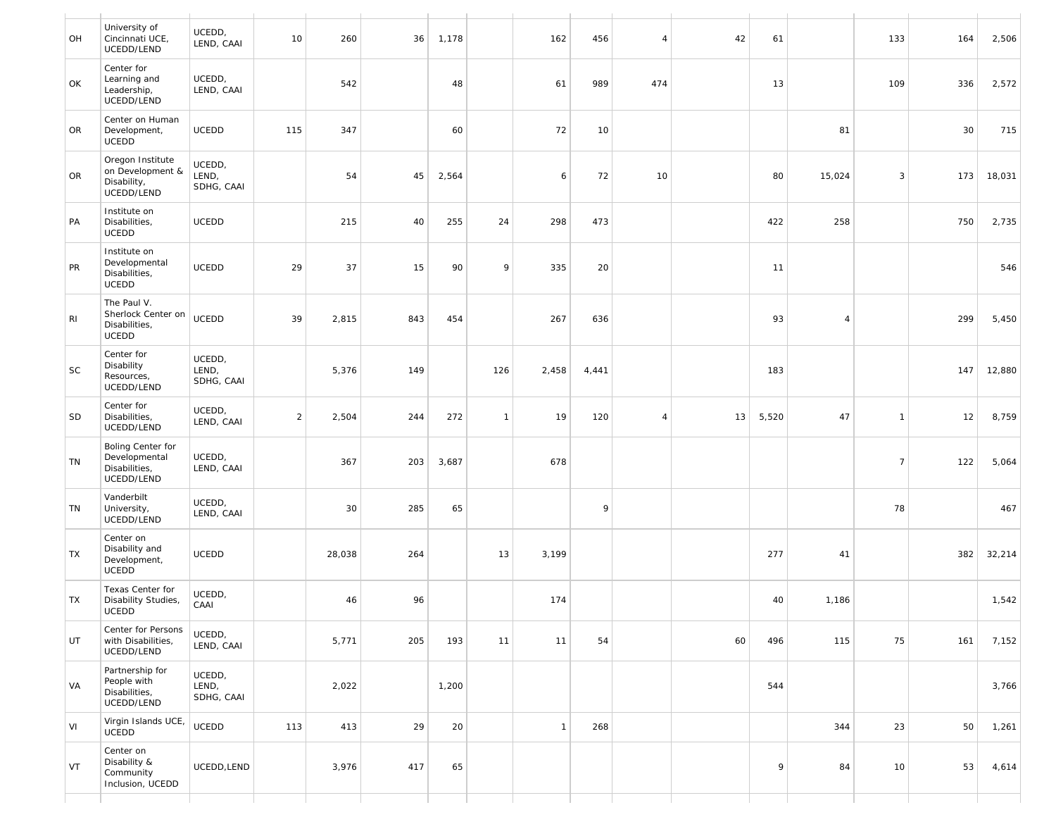| OH | University of<br>Cincinnati UCE,<br>UCEDD/LEND                     | UCEDD,<br>LEND, CAAI          | 10             | 260    | 36  | 1,178 |              | 162          | 456   | $\overline{4}$ | 42 | 61    |                | 133            | 164 | 2,506  |
|----|--------------------------------------------------------------------|-------------------------------|----------------|--------|-----|-------|--------------|--------------|-------|----------------|----|-------|----------------|----------------|-----|--------|
| OK | Center for<br>Learning and<br>Leadership,<br>UCEDD/LEND            | UCEDD,<br>LEND, CAAI          |                | 542    |     | 48    |              | 61           | 989   | 474            |    | 13    |                | 109            | 336 | 2,572  |
| OR | Center on Human<br>Development,<br><b>UCEDD</b>                    | UCEDD                         | 115            | 347    |     | 60    |              | 72           | 10    |                |    |       | 81             |                | 30  | 715    |
| OR | Oregon Institute<br>on Development &<br>Disability,<br>UCEDD/LEND  | UCEDD,<br>LEND,<br>SDHG, CAAI |                | 54     | 45  | 2,564 |              | 6            | 72    | 10             |    | 80    | 15,024         | 3              | 173 | 18,031 |
| PA | Institute on<br>Disabilities,<br><b>UCEDD</b>                      | UCEDD                         |                | 215    | 40  | 255   | 24           | 298          | 473   |                |    | 422   | 258            |                | 750 | 2,735  |
| PR | Institute on<br>Developmental<br>Disabilities,<br><b>UCEDD</b>     | <b>UCEDD</b>                  | 29             | 37     | 15  | 90    | 9            | 335          | 20    |                |    | 11    |                |                |     | 546    |
| RI | The Paul V.<br>Sherlock Center on<br>Disabilities,<br><b>UCEDD</b> | <b>UCEDD</b>                  | 39             | 2,815  | 843 | 454   |              | 267          | 636   |                |    | 93    | $\overline{4}$ |                | 299 | 5,450  |
| SC | Center for<br>Disability<br>Resources,<br>UCEDD/LEND               | UCEDD,<br>LEND,<br>SDHG, CAAI |                | 5,376  | 149 |       | 126          | 2,458        | 4,441 |                |    | 183   |                |                | 147 | 12,880 |
| SD | Center for<br>Disabilities,<br>UCEDD/LEND                          | UCEDD,<br>LEND, CAAI          | $\overline{2}$ | 2,504  | 244 | 272   | $\mathbf{1}$ | 19           | 120   | $\overline{4}$ | 13 | 5,520 | 47             | $\overline{1}$ | 12  | 8,759  |
| TN | Boling Center for<br>Developmental<br>Disabilities,<br>UCEDD/LEND  | UCEDD,<br>LEND, CAAI          |                | 367    | 203 | 3,687 |              | 678          |       |                |    |       |                | $\overline{7}$ | 122 | 5,064  |
| TN | Vanderbilt<br>University,<br>UCEDD/LEND                            | UCEDD,<br>LEND, CAAI          |                | 30     | 285 | 65    |              |              | 9     |                |    |       |                | 78             |     | 467    |
| TX | Center on<br>Disability and<br>Development,<br><b>UCEDD</b>        | <b>UCEDD</b>                  |                | 28,038 | 264 |       | 13           | 3,199        |       |                |    | 277   | 41             |                | 382 | 32,214 |
| TX | Texas Center for<br>Disability Studies,<br>UCEDD                   | UCEDD,<br>CAAI                |                | 46     | 96  |       |              | 174          |       |                |    | 40    | 1,186          |                |     | 1,542  |
| UT | Center for Persons<br>with Disabilities,<br>UCEDD/LEND             | UCEDD,<br>LEND, CAAI          |                | 5,771  | 205 | 193   | 11           | 11           | 54    |                | 60 | 496   | 115            | 75             | 161 | 7,152  |
| VA | Partnership for<br>People with<br>Disabilities,<br>UCEDD/LEND      | UCEDD,<br>LEND,<br>SDHG, CAAI |                | 2,022  |     | 1,200 |              |              |       |                |    | 544   |                |                |     | 3,766  |
| VI | Virgin Islands UCE,<br>UCEDD                                       | <b>UCEDD</b>                  | 113            | 413    | 29  | 20    |              | $\mathbf{1}$ | 268   |                |    |       | 344            | 23             | 50  | 1,261  |
| VT | Center on<br>Disability &<br>Community<br>Inclusion, UCEDD         | UCEDD, LEND                   |                | 3,976  | 417 | 65    |              |              |       |                |    | 9     | 84             | 10             | 53  | 4,614  |